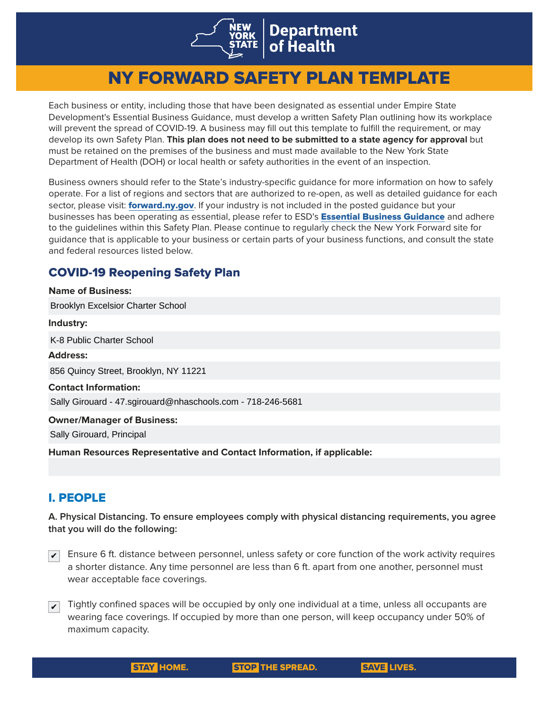

# NY FORWARD SAFETY PLAN TEMPLATE

Each business or entity, including those that have been designated as essential under Empire State Development's Essential Business Guidance, must develop a written Safety Plan outlining how its workplace will prevent the spread of COVID-19. A business may fill out this template to fulfill the requirement, or may develop its own Safety Plan. **This plan does not need to be submitted to a state agency for approval** but must be retained on the premises of the business and must made available to the New York State Department of Health (DOH) or local health or safety authorities in the event of an inspection.

Business owners should refer to the State's industry-specific guidance for more information on how to safely operate. For a list of regions and sectors that are authorized to re-open, as well as detailed guidance for each sector, please visit: **[forward.ny.gov](http://forward.ny.gov)**. If your industry is not included in the posted guidance but your businesses has been operating as essential, please refer to ESD's **Essential Business Guidance** and adhere to the guidelines within this Safety Plan. [Please continue to regularly check the New York Forward site for](https://esd.ny.gov/guidance-executive-order-2026)  guidance that is applicable to your business or certain parts of your business functions, and consult the state and federal resources listed below.

# COVID-19 Reopening Safety Plan

| <b>Name of Business:</b>                                               |
|------------------------------------------------------------------------|
| <b>Brooklyn Excelsior Charter School</b>                               |
| Industry:                                                              |
| K-8 Public Charter School                                              |
| <b>Address:</b>                                                        |
| 856 Quincy Street, Brooklyn, NY 11221                                  |
| <b>Contact Information:</b>                                            |
| Sally Girouard - 47.sgirouard@nhaschools.com - 718-246-5681            |
| <b>Owner/Manager of Business:</b>                                      |
| Sally Girouard, Principal                                              |
| Human Resources Representative and Contact Information, if applicable: |

# I. PEOPLE

**A. Physical Distancing. To ensure employees comply with physical distancing requirements, you agree that you will do the following:**

- $\blacktriangledown$  Ensure 6 ft. distance between personnel, unless safety or core function of the work activity requires a shorter distance. Any time personnel are less than 6 ft. apart from one another, personnel must wear acceptable face coverings.
- Tightly confined spaces will be occupied by only one individual at a time, unless all occupants are wearing face coverings. If occupied by more than one person, will keep occupancy under 50% of maximum capacity. ✔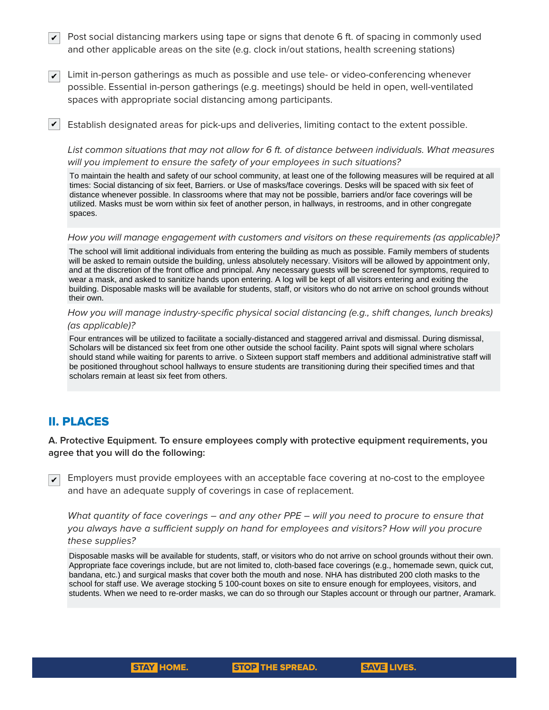- $\blacktriangledown$  Post social distancing markers using tape or signs that denote 6 ft. of spacing in commonly used and other applicable areas on the site (e.g. clock in/out stations, health screening stations)
- $\overline{\checkmark}$  Limit in-person gatherings as much as possible and use tele- or video-conferencing whenever possible. Essential in-person gatherings (e.g. meetings) should be held in open, well-ventilated spaces with appropriate social distancing among participants.
- $\blacktriangleright$  Establish designated areas for pick-ups and deliveries, limiting contact to the extent possible.

List common situations that may not allow for 6 ft. of distance between individuals. What measures will you implement to ensure the safety of your employees in such situations?

To maintain the health and safety of our school community, at least one of the following measures will be required at all times: Social distancing of six feet, Barriers. or Use of masks/face coverings. Desks will be spaced with six feet of distance whenever possible. In classrooms where that may not be possible, barriers and/or face coverings will be utilized. Masks must be worn within six feet of another person, in hallways, in restrooms, and in other congregate spaces.

How you will manage engagement with customers and visitors on these requirements (as applicable)?

The school will limit additional individuals from entering the building as much as possible. Family members of students will be asked to remain outside the building, unless absolutely necessary. Visitors will be allowed by appointment only, and at the discretion of the front office and principal. Any necessary guests will be screened for symptoms, required to wear a mask, and asked to sanitize hands upon entering. A log will be kept of all visitors entering and exiting the building. Disposable masks will be available for students, staff, or visitors who do not arrive on school grounds without their own.

### How you will manage industry-specific physical social distancing (e.g., shift changes, lunch breaks) (as applicable)?

Four entrances will be utilized to facilitate a socially-distanced and staggered arrival and dismissal. During dismissal, Scholars will be distanced six feet from one other outside the school facility. Paint spots will signal where scholars should stand while waiting for parents to arrive. o Sixteen support staff members and additional administrative staff will be positioned throughout school hallways to ensure students are transitioning during their specified times and that scholars remain at least six feet from others.

# II. PLACES

**A. Protective Equipment. To ensure employees comply with protective equipment requirements, you agree that you will do the following:**

Employers must provide employees with an acceptable face covering at no-cost to the employee and have an adequate supply of coverings in case of replacement.  $|v|$ 

What quantity of face coverings – and any other PPE – will you need to procure to ensure that you always have a sufficient supply on hand for employees and visitors? How will you procure these supplies?

Disposable masks will be available for students, staff, or visitors who do not arrive on school grounds without their own. Appropriate face coverings include, but are not limited to, cloth-based face coverings (e.g., homemade sewn, quick cut, bandana, etc.) and surgical masks that cover both the mouth and nose. NHA has distributed 200 cloth masks to the school for staff use. We average stocking 5 100-count boxes on site to ensure enough for employees, visitors, and students. When we need to re-order masks, we can do so through our Staples account or through our partner, Aramark.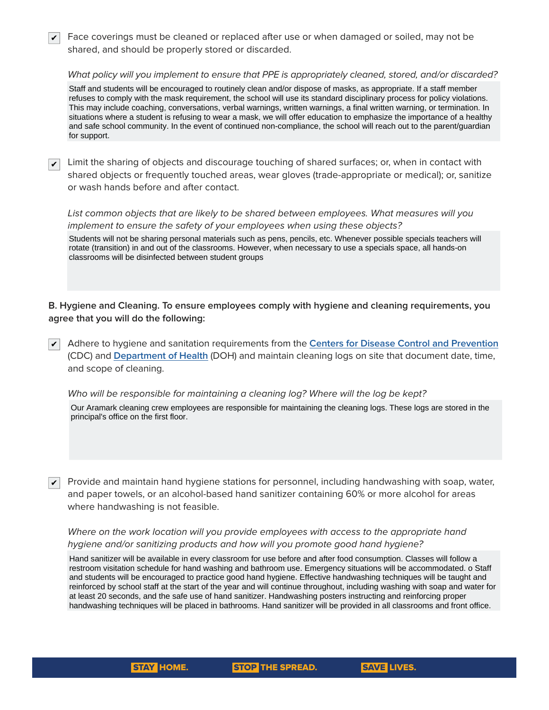$\blacktriangledown$  Face coverings must be cleaned or replaced after use or when damaged or soiled, may not be shared, and should be properly stored or discarded.

What policy will you implement to ensure that PPE is appropriately cleaned, stored, and/or discarded?

Staff and students will be encouraged to routinely clean and/or dispose of masks, as appropriate. If a staff member refuses to comply with the mask requirement, the school will use its standard disciplinary process for policy violations. This may include coaching, conversations, verbal warnings, written warnings, a final written warning, or termination. In situations where a student is refusing to wear a mask, we will offer education to emphasize the importance of a healthy and safe school community. In the event of continued non-compliance, the school will reach out to the parent/guardian for support.

 $\blacktriangledown$  Limit the sharing of objects and discourage touching of shared surfaces; or, when in contact with shared objects or frequently touched areas, wear gloves (trade-appropriate or medical); or, sanitize or wash hands before and after contact.

List common objects that are likely to be shared between employees. What measures will you implement to ensure the safety of your employees when using these objects?

Students will not be sharing personal materials such as pens, pencils, etc. Whenever possible specials teachers will rotate (transition) in and out of the classrooms. However, when necessary to use a specials space, all hands-on classrooms will be disinfected between student groups

**B. Hygiene and Cleaning. To ensure employees comply with hygiene and cleaning requirements, you agree that you will do the following:**

Adhere to hygiene and sanitation requirements from the **[Centers for Disease Control and Prevention](https://www.cdc.gov/coronavirus/2019-ncov/index.html)** ✔ (CDC) and **[Department of Health](https://coronavirus.health.ny.gov/home)** (DOH) and maintain cleaning logs on site that document date, time, and scope of cleaning.

Who will be responsible for maintaining a cleaning log? Where will the log be kept?

Our Aramark cleaning crew employees are responsible for maintaining the cleaning logs. These logs are stored in the principal's office on the first floor.

✔

Provide and maintain hand hygiene stations for personnel, including handwashing with soap, water, and paper towels, or an alcohol-based hand sanitizer containing 60% or more alcohol for areas where handwashing is not feasible.

### Where on the work location will you provide employees with access to the appropriate hand hygiene and/or sanitizing products and how will you promote good hand hygiene?

Hand sanitizer will be available in every classroom for use before and after food consumption. Classes will follow a restroom visitation schedule for hand washing and bathroom use. Emergency situations will be accommodated. o Staff and students will be encouraged to practice good hand hygiene. Effective handwashing techniques will be taught and reinforced by school staff at the start of the year and will continue throughout, including washing with soap and water for at least 20 seconds, and the safe use of hand sanitizer. Handwashing posters instructing and reinforcing proper handwashing techniques will be placed in bathrooms. Hand sanitizer will be provided in all classrooms and front office.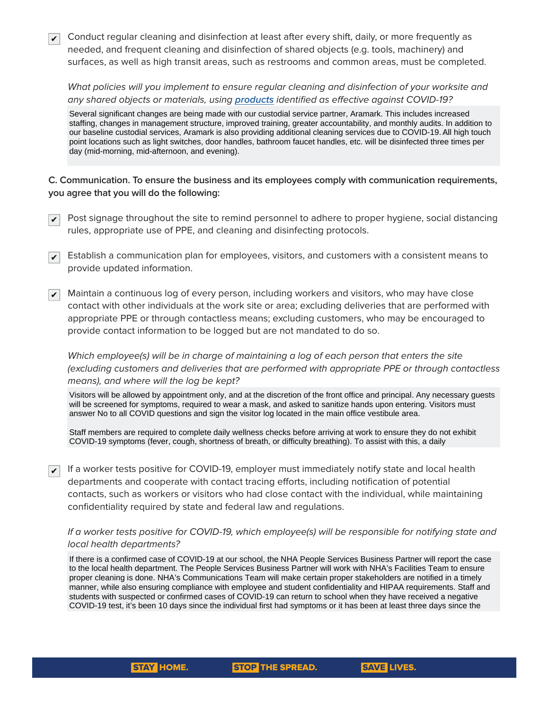$\overline{\checkmark}$  Conduct regular cleaning and disinfection at least after every shift, daily, or more frequently as needed, and frequent cleaning and disinfection of shared objects (e.g. tools, machinery) and surfaces, as well as high transit areas, such as restrooms and common areas, must be completed.

What policies will you implement to ensure regular cleaning and disinfection of your worksite and any shared objects or materials, using **[products](http://www.dec.ny.gov/docs/materials_minerals_pdf/covid19.pdf)** identified as effective against COVID-19?

Several significant changes are being made with our custodial service partner, Aramark. This includes increased staffing, changes in management structure, improved training, greater accountability, and monthly audits. In addition to our baseline custodial services, Aramark is also providing additional cleaning services due to COVID-19. All high touch point locations such as light switches, door handles, bathroom faucet handles, etc. will be disinfected three times per day (mid-morning, mid-afternoon, and evening).

**C. Communication. To ensure the business and its employees comply with communication requirements, you agree that you will do the following:**

- $\blacktriangledown$  Post signage throughout the site to remind personnel to adhere to proper hygiene, social distancing rules, appropriate use of PPE, and cleaning and disinfecting protocols.
- $\blacktriangledown$  Establish a communication plan for employees, visitors, and customers with a consistent means to provide updated information.
- Maintain a continuous log of every person, including workers and visitors, who may have close contact with other individuals at the work site or area; excluding deliveries that are performed with appropriate PPE or through contactless means; excluding customers, who may be encouraged to provide contact information to be logged but are not mandated to do so.  $\vert\bm{\mathsf{v}}\vert$

Which employee(s) will be in charge of maintaining a log of each person that enters the site (excluding customers and deliveries that are performed with appropriate PPE or through contactless means), and where will the log be kept?

Visitors will be allowed by appointment only, and at the discretion of the front office and principal. Any necessary guests will be screened for symptoms, required to wear a mask, and asked to sanitize hands upon entering. Visitors must answer No to all COVID questions and sign the visitor log located in the main office vestibule area.

Staff members are required to complete daily wellness checks before arriving at work to ensure they do not exhibit COVID-19 symptoms (fever, cough, shortness of breath, or difficulty breathing). To assist with this, a daily

 $\blacktriangledown$  If a worker tests positive for COVID-19, employer must immediately notify state and local health departments and cooperate with contact tracing efforts, including notification of potential contacts, such as workers or visitors who had close contact with the individual, while maintaining confidentiality required by state and federal law and regulations.

### If a worker tests positive for COVID-19, which employee(s) will be responsible for notifying state and local health departments?

If there is a confirmed case of COVID-19 at our school, the NHA People Services Business Partner will report the case to the local health department. The People Services Business Partner will work with NHA's Facilities Team to ensure proper cleaning is done. NHA's Communications Team will make certain proper stakeholders are notified in a timely manner, while also ensuring compliance with employee and student confidentiality and HIPAA requirements. Staff and students with suspected or confirmed cases of COVID-19 can return to school when they have received a negative COVID-19 test, it's been 10 days since the individual first had symptoms or it has been at least three days since the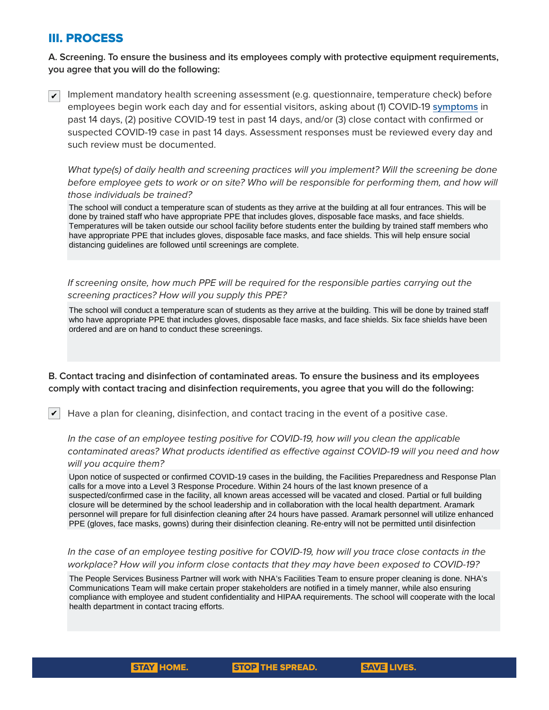# III. PROCESS

# **A. Screening. To ensure the business and its employees comply with protective equipment requirements, you agree that you will do the following:**

Implement mandatory health screening assessment (e.g. questionnaire, temperature check) before employees begin work each day and for essential visitors, asking about (1) COVID-19 **[symptoms](https://www.cdc.gov/coronavirus/2019-ncov/symptoms-testing/symptoms.html)** in past 14 days, (2) positive COVID-19 test in past 14 days, and/or (3) close contact with confirmed or suspected COVID-19 case in past 14 days. Assessment responses must be reviewed every day and such review must be documented.  $\vert\bm{\nu}\vert$ 

What type(s) of daily health and screening practices will you implement? Will the screening be done before employee gets to work or on site? Who will be responsible for performing them, and how will those individuals be trained?

The school will conduct a temperature scan of students as they arrive at the building at all four entrances. This will be done by trained staff who have appropriate PPE that includes gloves, disposable face masks, and face shields. Temperatures will be taken outside our school facility before students enter the building by trained staff members who have appropriate PPE that includes gloves, disposable face masks, and face shields. This will help ensure social distancing guidelines are followed until screenings are complete.

If screening onsite, how much PPE will be required for the responsible parties carrying out the screening practices? How will you supply this PPE? Structurity procedures. The multi-purpose supply and will be estate to contain the station of the station of the station of the station of the station of the station of the station of the station of the station of the stat

The school will conduct a temperature scan of students as they arrive at the building. This will be done by trained staff who have appropriate PPE that includes gloves, disposable face masks, and face shields. Six face shields have been ordered and are on hand to conduct these screenings.

#### B. Contact tracing and disinfection of contaminated areas. To ensure the business and its employees comply with contact tracing and disinfection requirements, you agree that you will do the following: Sty will contact trading and disimication requirements, you agree t

Have a plan for cleaning, disinfection, and contact tracing in the event of a positive case. ✔ COVID-19 symptoms (fever, cough, shortness of breath, or difficulty breathing). To assist with this, a daily

In the case of an employee testing positive for COVID-19, how will you clean the applicable contaminated areas? What products identified as effective against COVID-19 will you need and how will you acquire them? In the case of an employee testing positive for COVID-19, how will you

Upon notice of suspected or confirmed COVID-19 cases in the building, the Facilities Preparedness and Response Plan calls for a move into a Level 3 Response Procedure. Within 24 hours of the last known presence of a suspected/confirmed case in the facility, all known areas accessed will be vacated and closed. Partial or full building closure will be determined by the school leadership and in collaboration with the local health department. Aramark personnel will prepare for full disinfection cleaning after 24 hours have passed. Aramark personnel will utilize enhanced PPE (gloves, face masks, gowns) during their disinfection cleaning. Re-entry will not be permitted until disinfection

# In the case of an employee testing positive for COVID-19, how will you trace close contacts in the workplace? How will you inform close contacts that they may have been exposed to COVID-19?

The People Services Business Partner will work with NHA's Facilities Team to ensure proper cleaning is done. NHA's Communications Team will make certain proper stakeholders are notified in a timely manner, while also ensuring compliance with employee and student confidentiality and HIPAA requirements. The school will cooperate with the local health department in contact tracing efforts.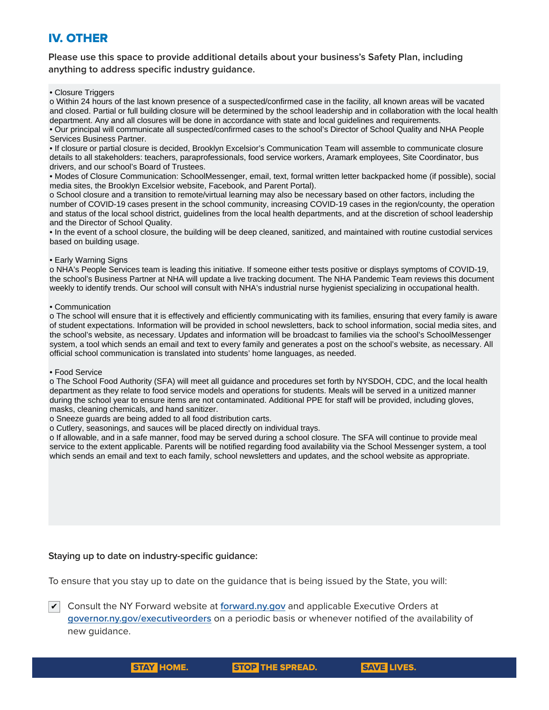# IV. OTHER

**Please use this space to provide additional details about your business's Safety Plan, including anything to address specific industry guidance.**

#### • Closure Triggers

o Within 24 hours of the last known presence of a suspected/confirmed case in the facility, all known areas will be vacated and closed. Partial or full building closure will be determined by the school leadership and in collaboration with the local health department. Any and all closures will be done in accordance with state and local guidelines and requirements. • Our principal will communicate all suspected/confirmed cases to the school's Director of School Quality and NHA People

Services Business Partner.

• If closure or partial closure is decided, Brooklyn Excelsior's Communication Team will assemble to communicate closure details to all stakeholders: teachers, paraprofessionals, food service workers, Aramark employees, Site Coordinator, bus drivers, and our school's Board of Trustees.

• Modes of Closure Communication: SchoolMessenger, email, text, formal written letter backpacked home (if possible), social media sites, the Brooklyn Excelsior website, Facebook, and Parent Portal).

o School closure and a transition to remote/virtual learning may also be necessary based on other factors, including the number of COVID-19 cases present in the school community, increasing COVID-19 cases in the region/county, the operation and status of the local school district, guidelines from the local health departments, and at the discretion of school leadership and the Director of School Quality.

• In the event of a school closure, the building will be deep cleaned, sanitized, and maintained with routine custodial services based on building usage.

### • Early Warning Signs

o NHA's People Services team is leading this initiative. If someone either tests positive or displays symptoms of COVID-19, the school's Business Partner at NHA will update a live tracking document. The NHA Pandemic Team reviews this document weekly to identify trends. Our school will consult with NHA's industrial nurse hygienist specializing in occupational health.

### • Communication

o The school will ensure that it is effectively and efficiently communicating with its families, ensuring that every family is aware of student expectations. Information will be provided in school newsletters, back to school information, social media sites, and the school's website, as necessary. Updates and information will be broadcast to families via the school's SchoolMessenger system, a tool which sends an email and text to every family and generates a post on the school's website, as necessary. All official school communication is translated into students' home languages, as needed.

### • Food Service

o The School Food Authority (SFA) will meet all guidance and procedures set forth by NYSDOH, CDC, and the local health department as they relate to food service models and operations for students. Meals will be served in a unitized manner during the school year to ensure items are not contaminated. Additional PPE for staff will be provided, including gloves, masks, cleaning chemicals, and hand sanitizer.

o Sneeze guards are being added to all food distribution carts.

o Cutlery, seasonings, and sauces will be placed directly on individual trays.

o If allowable, and in a safe manner, food may be served during a school closure. The SFA will continue to provide meal service to the extent applicable. Parents will be notified regarding food availability via the School Messenger system, a tool which sends an email and text to each family, school newsletters and updates, and the school website as appropriate.

### **Staying up to date on industry-specific guidance:**

To ensure that you stay up to date on the guidance that is being issued by the State, you will:

Consult the NY Forward website at **[forward.ny.gov](https://forward.ny.gov)** and applicable Executive Orders at ✔**[governor.ny.gov/executiveorders](http://governor.ny.gov/executiveorders)** on a periodic basis or whenever notified of the availability of new guidance.